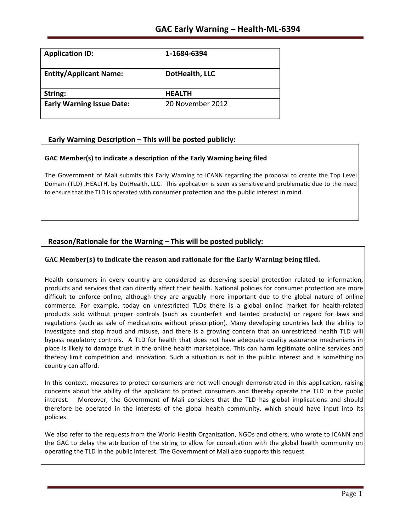| <b>Application ID:</b>           | 1-1684-6394      |
|----------------------------------|------------------|
| <b>Entity/Applicant Name:</b>    | DotHealth, LLC   |
| String:                          | <b>HEALTH</b>    |
| <b>Early Warning Issue Date:</b> | 20 November 2012 |

# **Early Warning Description – This will be posted publicly:**

## **GAC Member(s) to indicate a description of the Early Warning being filed**

The Government of Mali submits this Early Warning to ICANN regarding the proposal to create the Top Level Domain (TLD) .HEALTH, by DotHealth, LLC. This application is seen as sensitive and problematic due to the need to ensure that the TLD is operated with consumer protection and the public interest in mind.

# **Reason/Rationale for the Warning – This will be posted publicly:**

## **GAC** Member(s) to indicate the reason and rationale for the Early Warning being filed.

Health consumers in every country are considered as deserving special protection related to information, products and services that can directly affect their health. National policies for consumer protection are more difficult to enforce online, although they are arguably more important due to the global nature of online commerce. For example, today on unrestricted TLDs there is a global online market for health-related products sold without proper controls (such as counterfeit and tainted products) or regard for laws and regulations (such as sale of medications without prescription). Many developing countries lack the ability to investigate and stop fraud and misuse, and there is a growing concern that an unrestricted health TLD will bypass regulatory controls. A TLD for health that does not have adequate quality assurance mechanisms in place is likely to damage trust in the online health marketplace. This can harm legitimate online services and thereby limit competition and innovation. Such a situation is not in the public interest and is something no country can afford.

In this context, measures to protect consumers are not well enough demonstrated in this application, raising concerns about the ability of the applicant to protect consumers and thereby operate the TLD in the public interest. Moreover, the Government of Mali considers that the TLD has global implications and should therefore be operated in the interests of the global health community, which should have input into its policies.

We also refer to the requests from the World Health Organization, NGOs and others, who wrote to ICANN and the GAC to delay the attribution of the string to allow for consultation with the global health community on operating the TLD in the public interest. The Government of Mali also supports this request.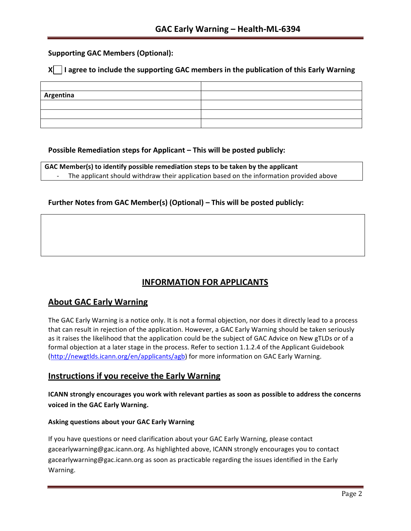## **Supporting GAC Members (Optional):**

## **X** | I agree to include the supporting GAC members in the publication of this Early Warning

| Argentina |  |
|-----------|--|
|           |  |
|           |  |
|           |  |

## **Possible Remediation steps for Applicant – This will be posted publicly:**

**GAC Member(s) to identify possible remediation steps to be taken by the applicant** The applicant should withdraw their application based on the information provided above

## **Further Notes from GAC Member(s) (Optional) – This will be posted publicly:**

# **INFORMATION FOR APPLICANTS**

# **About GAC Early Warning**

The GAC Early Warning is a notice only. It is not a formal objection, nor does it directly lead to a process that can result in rejection of the application. However, a GAC Early Warning should be taken seriously as it raises the likelihood that the application could be the subject of GAC Advice on New gTLDs or of a formal objection at a later stage in the process. Refer to section 1.1.2.4 of the Applicant Guidebook (http://newgtlds.icann.org/en/applicants/agb) for more information on GAC Early Warning.

## **Instructions if you receive the Early Warning**

**ICANN strongly encourages you work with relevant parties as soon as possible to address the concerns voiced in the GAC Early Warning.**

### **Asking questions about your GAC Early Warning**

If you have questions or need clarification about your GAC Early Warning, please contact gacearlywarning@gac.icann.org. As highlighted above, ICANN strongly encourages you to contact gacearlywarning@gac.icann.org as soon as practicable regarding the issues identified in the Early Warning.